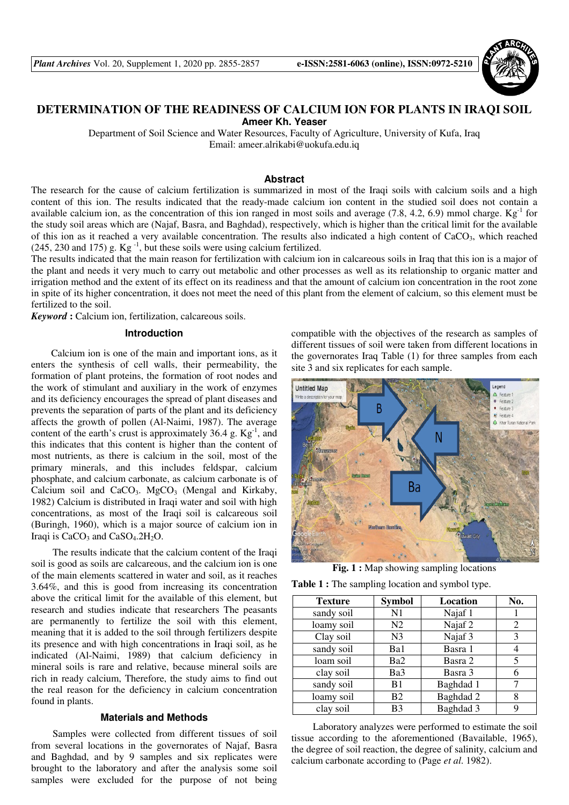

# **DETERMINATION OF THE READINESS OF CALCIUM ION FOR PLANTS IN IRAQI SOIL Ameer Kh. Yeaser**

Department of Soil Science and Water Resources, Faculty of Agriculture, University of Kufa, Iraq Email: ameer.alrikabi@uokufa.edu.iq

#### **Abstract**

The research for the cause of calcium fertilization is summarized in most of the Iraqi soils with calcium soils and a high content of this ion. The results indicated that the ready-made calcium ion content in the studied soil does not contain a available calcium ion, as the concentration of this ion ranged in most soils and average  $(7.8, 4.2, 6.9)$  mmol charge.  $\text{Kg}^{-1}$  for the study soil areas which are (Najaf, Basra, and Baghdad), respectively, which is higher than the critical limit for the available of this ion as it reached a very available concentration. The results also indicated a high content of CaCO<sub>3</sub>, which reached  $(245, 230 \text{ and } 175)$  g. Kg<sup>-1</sup>, but these soils were using calcium fertilized.

The results indicated that the main reason for fertilization with calcium ion in calcareous soils in Iraq that this ion is a major of the plant and needs it very much to carry out metabolic and other processes as well as its relationship to organic matter and irrigation method and the extent of its effect on its readiness and that the amount of calcium ion concentration in the root zone in spite of its higher concentration, it does not meet the need of this plant from the element of calcium, so this element must be fertilized to the soil.

*Keyword* **:** Calcium ion, fertilization, calcareous soils.

#### **Introduction**

 Calcium ion is one of the main and important ions, as it enters the synthesis of cell walls, their permeability, the formation of plant proteins, the formation of root nodes and the work of stimulant and auxiliary in the work of enzymes and its deficiency encourages the spread of plant diseases and prevents the separation of parts of the plant and its deficiency affects the growth of pollen (Al-Naimi, 1987). The average content of the earth's crust is approximately 36.4 g.  $Kg^{-1}$ , and this indicates that this content is higher than the content of most nutrients, as there is calcium in the soil, most of the primary minerals, and this includes feldspar, calcium phosphate, and calcium carbonate, as calcium carbonate is of Calcium soil and  $CaCO<sub>3</sub>$ . MgCO<sub>3</sub> (Mengal and Kirkaby, 1982) Calcium is distributed in Iraqi water and soil with high concentrations, as most of the Iraqi soil is calcareous soil (Buringh, 1960), which is a major source of calcium ion in Iraqi is  $CaCO<sub>3</sub>$  and  $CaSO<sub>4</sub>$ .2H<sub>2</sub>O.

The results indicate that the calcium content of the Iraqi soil is good as soils are calcareous, and the calcium ion is one of the main elements scattered in water and soil, as it reaches 3.64%, and this is good from increasing its concentration above the critical limit for the available of this element, but research and studies indicate that researchers The peasants are permanently to fertilize the soil with this element, meaning that it is added to the soil through fertilizers despite its presence and with high concentrations in Iraqi soil, as he indicated (Al-Naimi, 1989) that calcium deficiency in mineral soils is rare and relative, because mineral soils are rich in ready calcium, Therefore, the study aims to find out the real reason for the deficiency in calcium concentration found in plants.

### **Materials and Methods**

Samples were collected from different tissues of soil from several locations in the governorates of Najaf, Basra and Baghdad, and by 9 samples and six replicates were brought to the laboratory and after the analysis some soil samples were excluded for the purpose of not being

compatible with the objectives of the research as samples of different tissues of soil were taken from different locations in the governorates Iraq Table (1) for three samples from each site 3 and six replicates for each sample.



**Fig. 1 :** Map showing sampling locations

**Table 1 :** The sampling location and symbol type.

| <b>Texture</b> | <b>Symbol</b>  | Location  | No. |
|----------------|----------------|-----------|-----|
| sandy soil     | N1             | Najaf 1   |     |
| loamy soil     | N <sub>2</sub> | Najaf 2   | 2   |
| Clay soil      | N <sub>3</sub> | Najaf 3   | 3   |
| sandy soil     | Ba1            | Basra 1   |     |
| loam soil      | Ba2            | Basra 2   | 5   |
| clay soil      | Ba3            | Basra 3   |     |
| sandy soil     | B1             | Baghdad 1 |     |
| loamy soil     | <b>B2</b>      | Baghdad 2 | 8   |
| clay soil      | B <sub>3</sub> | Baghdad 3 |     |

Laboratory analyzes were performed to estimate the soil tissue according to the aforementioned (Bavailable, 1965), the degree of soil reaction, the degree of salinity, calcium and calcium carbonate according to (Page *et al*. 1982).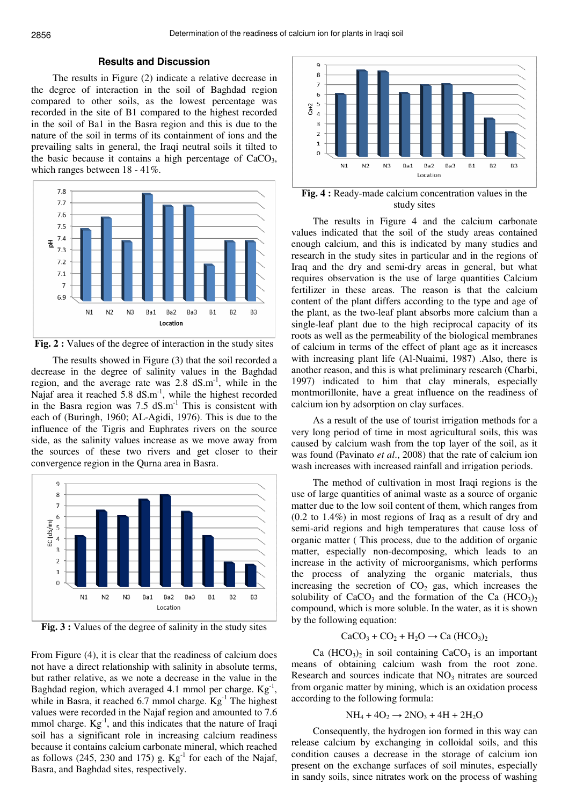## **Results and Discussion**

The results in Figure (2) indicate a relative decrease in the degree of interaction in the soil of Baghdad region compared to other soils, as the lowest percentage was recorded in the site of B1 compared to the highest recorded in the soil of Ba1 in the Basra region and this is due to the nature of the soil in terms of its containment of ions and the prevailing salts in general, the Iraqi neutral soils it tilted to the basic because it contains a high percentage of  $CaCO<sub>3</sub>$ , which ranges between 18 - 41%.



**Fig. 2 :** Values of the degree of interaction in the study sites

The results showed in Figure (3) that the soil recorded a decrease in the degree of salinity values in the Baghdad region, and the average rate was  $2.8 \text{ dS.m}^{-1}$ , while in the Najaf area it reached  $5.8 \text{ dS.m}^{-1}$ , while the highest recorded in the Basra region was  $7.5 \text{ dS.m}^{-1}$  This is consistent with each of (Buringh, 1960; AL-Agidi, 1976). This is due to the influence of the Tigris and Euphrates rivers on the source side, as the salinity values increase as we move away from the sources of these two rivers and get closer to their convergence region in the Qurna area in Basra.



Fig. 3 : Values of the degree of salinity in the study sites

From Figure (4), it is clear that the readiness of calcium does not have a direct relationship with salinity in absolute terms, but rather relative, as we note a decrease in the value in the Baghdad region, which averaged 4.1 mmol per charge.  $Kg^{-1}$ , while in Basra, it reached 6.7 mmol charge. Kg<sup>-1</sup> The highest values were recorded in the Najaf region and amounted to 7.6 mmol charge.  $Kg^{-1}$ , and this indicates that the nature of Iraqi soil has a significant role in increasing calcium readiness because it contains calcium carbonate mineral, which reached as follows (245, 230 and 175) g.  $Kg^{-1}$  for each of the Najaf, Basra, and Baghdad sites, respectively.



**Fig. 4 :** Ready-made calcium concentration values in the study sites

The results in Figure 4 and the calcium carbonate values indicated that the soil of the study areas contained enough calcium, and this is indicated by many studies and research in the study sites in particular and in the regions of Iraq and the dry and semi-dry areas in general, but what requires observation is the use of large quantities Calcium fertilizer in these areas. The reason is that the calcium content of the plant differs according to the type and age of the plant, as the two-leaf plant absorbs more calcium than a single-leaf plant due to the high reciprocal capacity of its roots as well as the permeability of the biological membranes of calcium in terms of the effect of plant age as it increases with increasing plant life (Al-Nuaimi, 1987) .Also, there is another reason, and this is what preliminary research (Charbi, 1997) indicated to him that clay minerals, especially montmorillonite, have a great influence on the readiness of calcium ion by adsorption on clay surfaces.

As a result of the use of tourist irrigation methods for a very long period of time in most agricultural soils, this was caused by calcium wash from the top layer of the soil, as it was found (Pavinato *et al*., 2008) that the rate of calcium ion wash increases with increased rainfall and irrigation periods.

The method of cultivation in most Iraqi regions is the use of large quantities of animal waste as a source of organic matter due to the low soil content of them, which ranges from (0.2 to 1.4%) in most regions of Iraq as a result of dry and semi-arid regions and high temperatures that cause loss of organic matter ( This process, due to the addition of organic matter, especially non-decomposing, which leads to an increase in the activity of microorganisms, which performs the process of analyzing the organic materials, thus increasing the secretion of  $CO<sub>2</sub>$  gas, which increases the solubility of  $CaCO<sub>3</sub>$  and the formation of the Ca  $(HCO<sub>3</sub>)<sub>2</sub>$ compound, which is more soluble. In the water, as it is shown by the following equation:

## $CaCO<sub>3</sub> + CO<sub>2</sub> + H<sub>2</sub>O \rightarrow Ca (HCO<sub>3</sub>)<sub>2</sub>$

 $Ca (HCO<sub>3</sub>)<sub>2</sub>$  in soil containing  $CaCO<sub>3</sub>$  is an important means of obtaining calcium wash from the root zone. Research and sources indicate that  $NO<sub>3</sub>$  nitrates are sourced from organic matter by mining, which is an oxidation process according to the following formula:

#### $NH_4 + 4O_2 \rightarrow 2NO_3 + 4H + 2H_2O$

Consequently, the hydrogen ion formed in this way can release calcium by exchanging in colloidal soils, and this condition causes a decrease in the storage of calcium ion present on the exchange surfaces of soil minutes, especially in sandy soils, since nitrates work on the process of washing